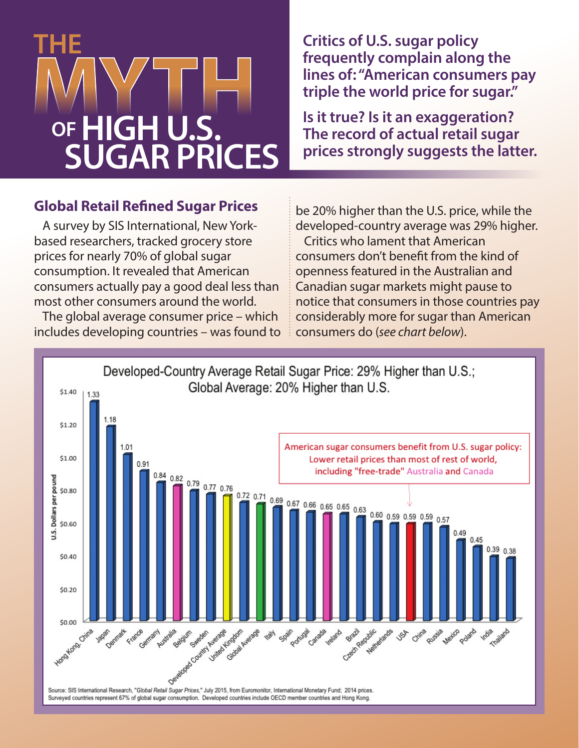# **THE OF HIGH U.S. SUGAR PRICES**

**Critics of U.S. sugar policy frequently complain along the lines of: "American consumers pay triple the world price for sugar."**

**Is it true? Is it an exaggeration? The record of actual retail sugar prices strongly suggests the latter.**

### **Global Retail Refined Sugar Prices**

A survey by SIS International, New Yorkbased researchers, tracked grocery store prices for nearly 70% of global sugar consumption. It revealed that American consumers actually pay a good deal less than most other consumers around the world.

The global average consumer price – which includes developing countries – was found to

be 20% higher than the U.S. price, while the developed-country average was 29% higher. Critics who lament that American consumers don't benefit from the kind of openness featured in the Australian and Canadian sugar markets might pause to notice that consumers in those countries pay considerably more for sugar than American consumers do (*see chart below*).

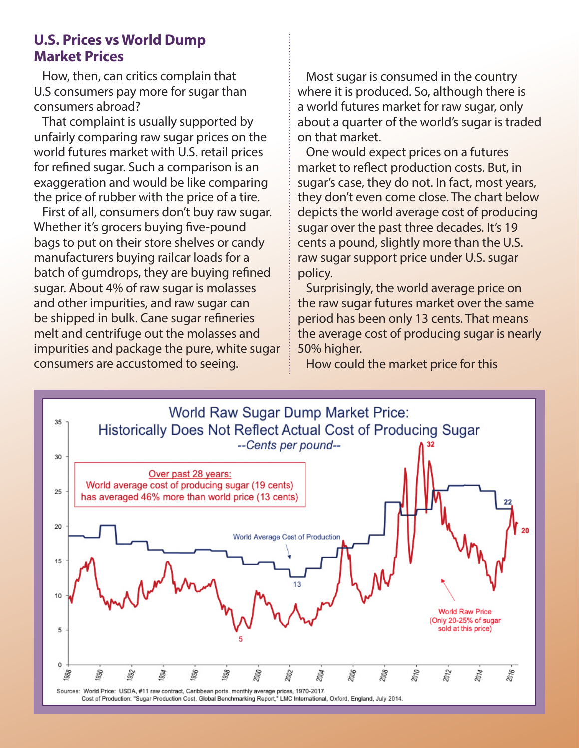### **U.S. Prices vs World Dump Market Prices**

How, then, can critics complain that U.S consumers pay more for sugar than consumers abroad?

That complaint is usually supported by unfairly comparing raw sugar prices on the world futures market with U.S. retail prices for refined sugar. Such a comparison is an exaggeration and would be like comparing the price of rubber with the price of a tire.

First of all, consumers don't buy raw sugar. Whether it's grocers buying five-pound bags to put on their store shelves or candy manufacturers buying railcar loads for a batch of gumdrops, they are buying refined sugar. About 4% of raw sugar is molasses and other impurities, and raw sugar can be shipped in bulk. Cane sugar refineries melt and centrifuge out the molasses and impurities and package the pure, white sugar consumers are accustomed to seeing.

Most sugar is consumed in the country where it is produced. So, although there is a world futures market for raw sugar, only about a quarter of the world's sugar is traded on that market.

One would expect prices on a futures market to reflect production costs. But, in sugar's case, they do not. In fact, most years, they don't even come close. The chart below depicts the world average cost of producing sugar over the past three decades. It's 19 cents a pound, slightly more than the U.S. raw sugar support price under U.S. sugar policy.

Surprisingly, the world average price on the raw sugar futures market over the same period has been only 13 cents. That means the average cost of producing sugar is nearly 50% higher.

How could the market price for this

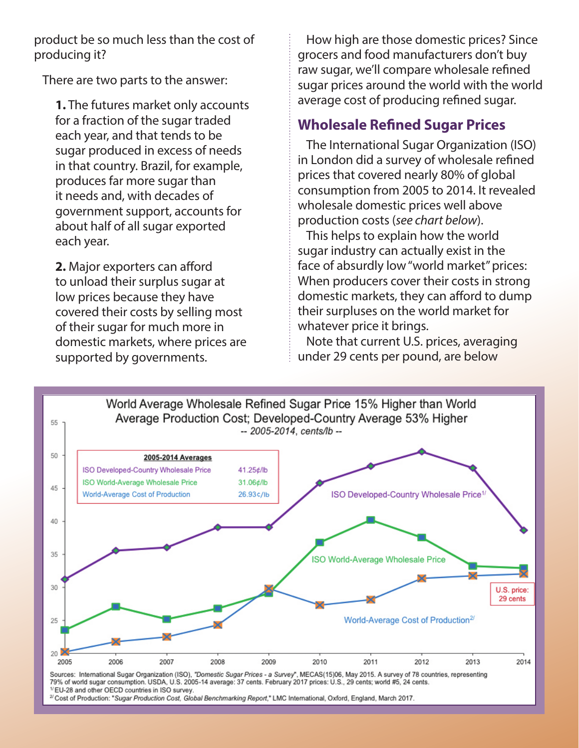product be so much less than the cost of producing it?

There are two parts to the answer:

**1.** The futures market only accounts for a fraction of the sugar traded each year, and that tends to be sugar produced in excess of needs in that country. Brazil, for example, produces far more sugar than it needs and, with decades of government support, accounts for about half of all sugar exported each year.

**2.** Major exporters can afford to unload their surplus sugar at low prices because they have covered their costs by selling most of their sugar for much more in domestic markets, where prices are supported by governments.

How high are those domestic prices? Since grocers and food manufacturers don't buy raw sugar, we'll compare wholesale refined sugar prices around the world with the world average cost of producing refined sugar.

# **Wholesale Refined Sugar Prices**

The International Sugar Organization (ISO) in London did a survey of wholesale refined prices that covered nearly 80% of global consumption from 2005 to 2014. It revealed wholesale domestic prices well above production costs (*see chart below*).

This helps to explain how the world sugar industry can actually exist in the face of absurdly low "world market" prices: When producers cover their costs in strong domestic markets, they can afford to dump their surpluses on the world market for whatever price it brings.

Note that current U.S. prices, averaging under 29 cents per pound, are below



<sup>2/</sup> Cost of Production: "Sugar Production Cost, Global Benchmarking Report," LMC International, Oxford, England, March 2017.